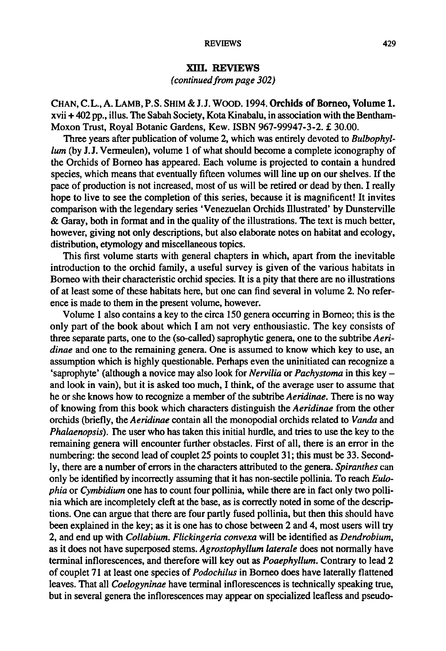## REVIEWS 429

## XIII. Reviews

(continued from page 302)

CHAN, C.L., A. LAMB, P.S. SHIM & J.J. WOOD. 1994.Orchids of Borneo, Volume 1. xvii + 402 pp., illus. The Sabah Society, Kota Kinabalu, in association with the Bentham-Moxon Trust, Royal Botanic Gardens, Kew. ISBN 967-99947-3-2.£ 30.00.

Three years after publication of volume 2, which was entirely devoted to Bulbophyllum (by J.J. Vermeulen), volume <sup>1</sup> of what should become <sup>a</sup> complete iconography of the Orchids of Borneo has appeared. Each volume is projected to contain <sup>a</sup> hundred species, which means that eventually fifteen volumes will line up on our shelves. If the pace of production is not increased, most of us will be retired or dead by then. I really hope to live to see the completion of this series, because it is magnificent! It invites comparison with the legendary series 'Venezuelan Orchids Illustrated' by Dunsterville & Garay, both in format and in the quality of the illustrations. The text is much better, however, giving not only descriptions, but also elaborate notes on habitat and ecology, distribution, etymology and miscellaneous topics.

This first volume starts with general chapters in which, apart from the inevitable introduction to the orchid family, <sup>a</sup> useful survey is given of the various habitats in Borneo with their characteristic orchid species. It is a pity that there are no illustrations of at least some of these habitats here, but one can find several in volume 2. No reference is made to them in the present volume, however.

Volume <sup>1</sup> also contains <sup>a</sup> key to the circa 150 genera occurring in Borneo; this is the only part of the book about which I am not very enthousiastic. The key consists of three separate parts, one to the (so-called) saprophytic genera, one to the subtribe Aeridinae and one to the remaining genera. One is assumed to know which key to use, an assumption which is highly questionable. Perhaps even the uninitiated can recognize a 'saprophyte' (although a novice may also look for *Nervilia* or *Pachystoma* in this key  $$ and look in vain), but it is asked too much, I think, of the average user to assume that he or she knows how to recognize a member of the subtribe Aeridinae. There is no way of knowing from this book which characters distinguish the Aeridinae from the other orchids (briefly, the Aeridinae contain all the monopodial orchids related to Vanda and Phalaenopsis). The user who has taken this initial hurdle, and tries to use the key to the remaining genera will encounter further obstacles. First of all, there is an error in the numbering: the second lead of couplet <sup>25</sup> points to couplet 31; this must be 33. Secondly, there are a number of errors in the characters attributed to the genera. Spiranthes can only be identified by incorrectly assuming that it has non-sectile pollinia. To reach Eulophia or Cymbidium one has to count four pollinia, while there are in fact only two pollinia which are incompletely cleft at the base, as is correctly noted in some of the descriptions. One can argue that there are four partly fused pollinia, but then this should have been explained in the key; as it is one has to chose between 2 and 4, most users will try 2, and end up with Collabium. Flickingeria convexa will be identified as Dendrobium, as it does not have superposed stems. Agrostophyllum laterale does not normally have terminal inflorescences, and therefore will key out as *Poaephyllum*. Contrary to lead 2 of couplet 71 at least one species of Podochilus in Borneo does have laterally flattened leaves. That all *Coelogyninae* have terminal inflorescences is technically speaking true, but in several genera the inflorescences may appear on specialized leafless and pseudo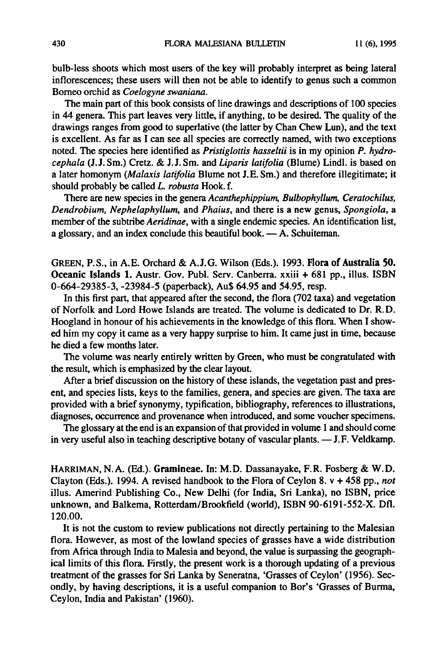bulb-less shoots which most users of the key will probably interpret as being lateral inflorescences; these users will then not be able to identify to genus such <sup>a</sup> common Borneo orchid as Coelogyne swaniana.

The main part of this book consists of line drawings and descriptions of 100 species in <sup>44</sup> genera. This part leaves very little, if anything, to be desired. The quality of the drawings ranges from good to superlative (the latter by Chan Chew Lun), and the text is excellent. As far as I can see all species are correctly named, with two exceptions noted. The species here identified as *Pristiglottis hasseltii* is in my opinion  $P$ .  $hydro$ cephala (J.J. Sm.) Cretz. & J.J. Sm. and Liparis latifolia (Blume) Lindl. is based on <sup>a</sup> later homonym (Malaxis latifolia Blume not J.E.Sm.) and therefore illegitimate; it should probably be called L. robusta Hook. f.

There are new species in the genera Acanthephippium, Bulbophyllum, Ceratochilus, Dendrobium, Nephelaphyllum, and Phaius, and there is <sup>a</sup> new genus, Spongiola, <sup>a</sup> member of the subtribe Aeridinae, with a single endemic species. An identification list, a glossary, and an index conclude this beautiful book.  $- A$ . Schuiteman.

GREEN, P.S., in A.E. Orchard & A. J.G. Wilson (Eds.)- 1993. Flora of Australia 50. Oceanic Islands 1. Austr. Gov. Publ. Serv. Canberra, xxiii <sup>+</sup> <sup>681</sup> pp., illus. ISBN 0-664-29385-3, -23984-5 (paperback), Au\$ 64.95 and 54.95, resp.

In this first part, that appeared after the second, the flora (702 taxa) and vegetation of Norfolk and Lord Howe Islands are treated. The volume is dedicated to Dr. R.D. Hoogland in honour of his achievements in the knowledge of this flora. When I showed him my copy it came as <sup>a</sup> very happy surprise to him. It came just in time, because he died a few months later.

The volume was nearly entirely written by Green, who must be congratulated with the result, which is emphasized by the clear layout.

After a brief discussion on the history of these islands, the vegetation past and present, and species lists, keys to the families, genera, and species are given. The taxa are provided with a brief synonymy, typification, bibliography, references to illustrations, diagnoses, occurrence and provenance when introduced, and some voucher specimens.

The glossary at the end is an expansion of that provided in volume 1 and should come in very useful also in teaching descriptive botany of vascular plants. — J. F. Veldkamp.

HARRIMAN, N.A. (Ed.)- Gramineae. In: M.D. Dassanayake, F.R. Fosberg & W.D. Clayton (Eds.). 1994. A revised handbook to the Flora of Ceylon 8.  $v + 458$  pp., not illus. Amerind Publishing Co., New Delhi (for India, Sri Lanka), no ISBN, price unknown, and Balkema, Rotterdam/Brookfield (world), ISBN 90-6191-552-X. Dfl. 120.00.

It is not the custom to review publications not directly pertaining to the Malesian flora. However, as most of the lowland species of grasses have <sup>a</sup> wide distribution from Africa through India to Malesia and beyond, the value is surpassing the geographical limits of this flora. Firstly, the present work is <sup>a</sup> thorough updating of a previous treatment of the grasses for Sri Lanka by Seneratna, 'Grasses of Ceylon' (1956). Secondly, by having descriptions, it is <sup>a</sup> useful companion to Bor's 'Grasses of Burma, Ceylon, India and Pakistan' (1960).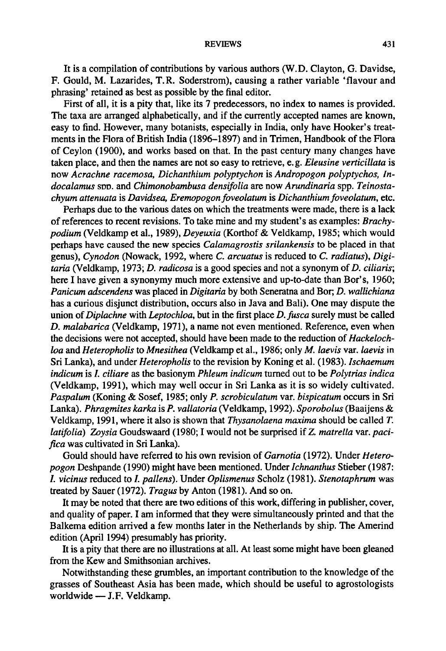## REVIEWS 431

It is <sup>a</sup> compilation of contributions by various authors (W. D. Clayton, G. Davidse, F. Gould, M. Lazarides, T.R. Soderstrom), causing <sup>a</sup> rather variable 'flavour and phrasing' retained as best as possible by the final editor.

First of all, it is <sup>a</sup> pity that, like its 7 predecessors, no index to names is provided. The taxa are arranged alphabetically, and if the currently accepted names are known, easy to find. However, many botanists, especially in India, only have Hooker's treatments in the Flora of British India (1896-1897) and in Trimen, Handbook of the Flora of Ceylon (1900), and works based on that. In the past century many changes have taken place, and then the names are not so easy to retrieve, e.g. Eleusine verticillata is now Acrachne racemosa, Dichanthium polyptychon is Andropogon polyptychos, Indocalamus spp. and Chimonobambusa densifolia are now Arundinaria spp. Teinostachyum attenuata is Davidsea, Eremopogon foveolatum is Dichanthium foveolatum, etc.

Perhaps due to the various dates on which the treatments were made, there is <sup>a</sup> lack of references to recent revisions. To take mine and my student's as examples: Brachypodium (Veldkamp et al., 1989), Deyeuxia (Korthof & Veldkamp, 1985; which would perhaps have caused the new species Calamagrostis srilankensis to be placed in that genus), Cynodon (Nowack, 1992, where C. arcuatus is reduced to C. radiatus), Digi $taria$  (Veldkamp, 1973;  $D.$  radicosa is a good species and not a synonym of  $D.$  ciliaris; here I have given <sup>a</sup> synonymy much more extensive and up-to-date than Bor's, 1960; Panicum adscendens was placed in Digitaria by both Seneratna and Bor; D. wallichiana has <sup>a</sup> curious disjunct distribution, occurs also in Java and Bali). One may dispute the union of Diplachne with Leptochloa, but in the first place  $D$ . fusca surely must be called D. malabarica(Veldkamp, 1971), <sup>a</sup> name not even mentioned. Reference, even when the decisions were not accepted, should have been made to the reduction of Hackelochloa and Heteropholis to Mnesithea (Veldkamp et al., 1986; only M. laevis var. laevis in Sri Lanka), and under *Heteropholis* to the revision by Koning et al. (1983). *Ischaemum* indicum is I. ciliare as the basionym Phleum indicum turned out to be Polytrias indica (Veldkamp, 1991), which may well occur in Sri Lanka as it is so widely cultivated. Paspalum (Koning & Sosef, 1985; only P. scrobiculatum var. bispicatum occurs in Sri Lanka). Phragmites karka is P. vallatoria(Veldkamp, 1992). Sporobolus (Baaijens & Veldkamp, 1991, where it also is shown that Thysanolaena maxima should be called T. latifolia) Zoysia Goudswaard (1980; I would not be surprised if Z. matrella var. pacifica was cultivated in SriLanka).

Gould should have referred to his own revision of Garnotia (1972). Under Heteropogon Deshpande (1990) might have been mentioned. Under *Ichnanthus* Stieber (1987: I. vicinus reduced to I. pallens). Under Oplismenus Scholz (1981). Stenotaphrum was treated by Sauer (1972). Tragus by Anton (1981). And so on.

It may be noted that there are two editions of this work, differing in publisher, cover, and quality of paper. I am informed that they were simultaneously printed and that the Balkema edition arrived a few months later in the Netherlands by ship. The Amerind edition (April 1994) presumably has priority.

It is a pity that there are no illustrations at all. At least some might have been gleaned from the Kew and Smithsonian archives.

Notwithstanding these grumbles, an important contribution to the knowledge of the grasses of Southeast Asia has been made, which should be useful to agrostologists worldwide— J.F. Veldkamp.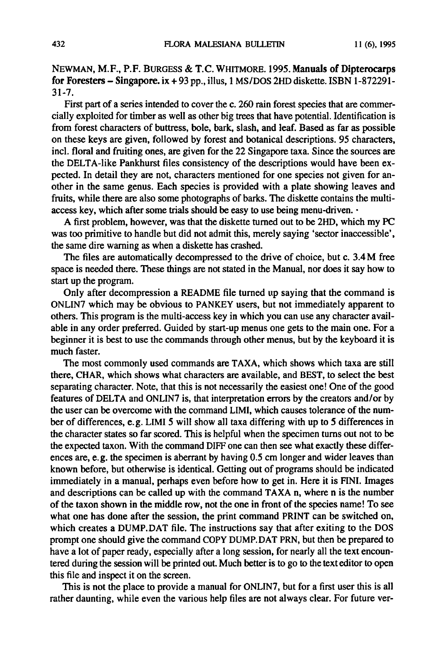NEWMAN, M.F., P.F. BURGESS & T.C.WHITMORE. 1995. Manuals of Dipterocarps for Foresters – Singapore. ix + 93 pp., illus, 1 MS/DOS 2HD diskette. ISBN  $\overline{1}$ -872291-31-7.

First part of a series intended to cover the c. 260 rain forest species that are commercially exploited for timberas well as other big trees that have potential. Identification is from forest characters of buttress, bole, bark, slash, and leaf. Based as far as possible on these keys are given, followed by forest and botanical descriptions. 95 characters, incl. floral and fruiting ones, are given for the 22 Singapore taxa. Since the sources are the DELTA-like Pankhurst files consistency of the descriptions would have been expected. In detail they are not, characters mentioned for one species not given for another in the same genus. Each species is provided with <sup>a</sup> plate showing leaves and fruits, while there are also some photographs of barks. The diskette contains the multiaccess key, which after some trials should be easy to use being menu-driven.

A first problem, however, was that the diskette turned out to be 2HD, which my PC was too primitive to handle but did not admit this, merely saying 'sector inaccessible', the same dire warning as when <sup>a</sup> diskette has crashed.

The files are automatically decompressed to the drive of choice, but c. 3.4M free space is needed there. These things are not stated in the Manual, nor does it say how to start up the program.

Only after decompression <sup>a</sup> README file turned up saying that the command is ONLIN7 which may be obvious to PANKEY users, but not immediately apparent to others. This program is the multi-access key in which you can use any character available in any order preferred. Guided by start-up menus one gets to the main one. For <sup>a</sup> beginner it is best to use the commands through other menus, but by the keyboard it is much faster.

The most commonly used commands are TAXA, which shows which taxa are still there, CHAR, which shows what characters are available, and BEST, to select the best separating character. Note, that this is not necessarily the easiest one! One of the good features of DELTA and ONLIN7 is, that interpretation errors by the creators and/or by the user can be overcome with the command LIMI, which causes tolerance of the number of differences, e. g. LIMI <sup>5</sup> will show all taxa differing with up to <sup>5</sup> differences in the character states so far scored. This is helpful when the specimen turns out not to be the expected taxon. With the command DIFF one can then see what exactly these differences are, e.g. the specimen is aberrant by having  $0.5$  cm longer and wider leaves than known before, but otherwise is identical. Getting out of programs should be indicated immediately in <sup>a</sup> manual, perhaps even before how to get in. Here it is FINI. Images and descriptions can be called up with the command TAXA n, where n is the number of the taxon shown in the middle row, not the one in front of the species name! To see what one has done after the session, the print command PRINT can be switched on, which creates a DUMP. DAT file. The instructions say that after exiting to the DOS prompt one should give the command COPY DUMP.DAT PRN, but then be prepared to have a lot of paper ready, especially after a long session, for nearly all the text encountered during the session will be printed out. Much betteris to go to the texteditor to open this file and inspect it on the screen.

This is not the place to provide <sup>a</sup> manual for ONLIN7, but for <sup>a</sup> first user this is all rather daunting, while even the various help files are not always clear. For future ver-